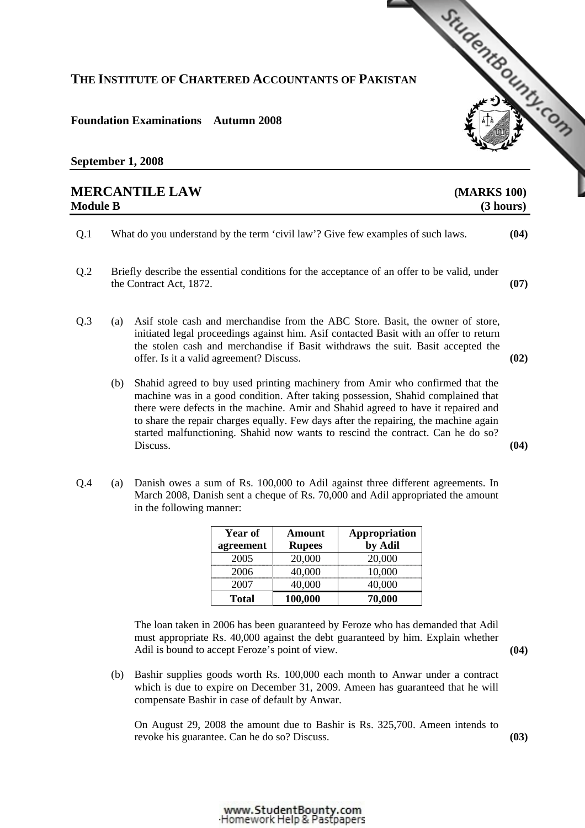## **THE INSTITUTE OF CHARTERED ACCOUNTANTS OF PAKISTAN**

## **Foundation Examinations Autumn 2008**

## **September 1, 2008**

| <b>MERCANTILE LAW</b><br>(MARKS 100)<br><b>Module B</b><br>(3 hours) |                                                                                                                        |                                                                                                                                                                                                                                                                                                                                                                                                                                               |      |  |
|----------------------------------------------------------------------|------------------------------------------------------------------------------------------------------------------------|-----------------------------------------------------------------------------------------------------------------------------------------------------------------------------------------------------------------------------------------------------------------------------------------------------------------------------------------------------------------------------------------------------------------------------------------------|------|--|
| Q.1                                                                  |                                                                                                                        | What do you understand by the term 'civil law'? Give few examples of such laws.                                                                                                                                                                                                                                                                                                                                                               | (04) |  |
| Q.2                                                                  | Briefly describe the essential conditions for the acceptance of an offer to be valid, under<br>the Contract Act, 1872. |                                                                                                                                                                                                                                                                                                                                                                                                                                               | (07) |  |
| Q <sub>.3</sub>                                                      | (a)                                                                                                                    | Asif stole cash and merchandise from the ABC Store. Basit, the owner of store,<br>initiated legal proceedings against him. Asif contacted Basit with an offer to return<br>the stolen cash and merchandise if Basit withdraws the suit. Basit accepted the<br>offer. Is it a valid agreement? Discuss.                                                                                                                                        | (02) |  |
|                                                                      | (b)                                                                                                                    | Shahid agreed to buy used printing machinery from Amir who confirmed that the<br>machine was in a good condition. After taking possession, Shahid complained that<br>there were defects in the machine. Amir and Shahid agreed to have it repaired and<br>to share the repair charges equally. Few days after the repairing, the machine again<br>started malfunctioning. Shahid now wants to rescind the contract. Can he do so?<br>Discuss. | (04) |  |
| O.4                                                                  | (a)                                                                                                                    | Danish owes a sum of Rs. 100,000 to Adil against three different agreements. In                                                                                                                                                                                                                                                                                                                                                               |      |  |

Q.4 (a) Danish owes a sum of Rs. 100,000 to Adil against three different agreements. In March 2008, Danish sent a cheque of Rs. 70,000 and Adil appropriated the amount in the following manner:

| Year of      | Amount        | Appropriation |
|--------------|---------------|---------------|
| agreement    | <b>Rupees</b> | by Adil       |
| 2005         | 20,000        | 20,000        |
| 2006         | 40,000        | 10,000        |
| 2007         | 40,000        | 40,000        |
| <b>Total</b> | 100,000       | 70,000        |

 The loan taken in 2006 has been guaranteed by Feroze who has demanded that Adil must appropriate Rs. 40,000 against the debt guaranteed by him. Explain whether Adil is bound to accept Feroze's point of view. **(04) (04)** 

 (b) Bashir supplies goods worth Rs. 100,000 each month to Anwar under a contract which is due to expire on December 31, 2009. Ameen has guaranteed that he will compensate Bashir in case of default by Anwar.

On August 29, 2008 the amount due to Bashir is Rs. 325,700. Ameen intends to revoke his guarantee. Can he do so? Discuss. **(03)** 

StudentBoundary Com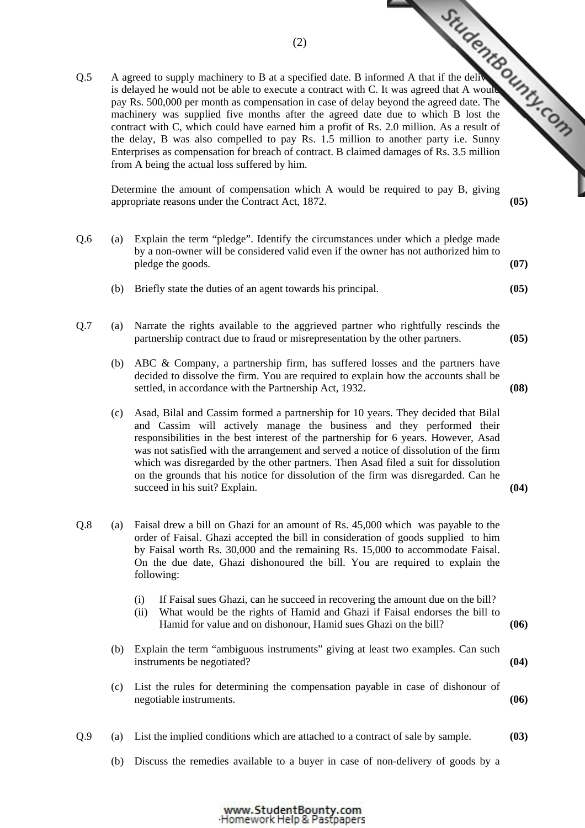Q.5 A agreed to supply machinery to B at a specified date. B informed A that if the delivery  $\frac{1}{2}$ <br>A alayed he would not be able to excute a contract with C. It was agreed that A would would would would be a compensat is delayed he would not be able to execute a contract with C. It was agreed that A would pay Rs. 500,000 per month as compensation in case of delay beyond the agreed date. The machinery was supplied five months after the agreed date due to which B lost the contract with C, which could have earned him a profit of Rs. 2.0 million. As a result of the delay, B was also compelled to pay Rs. 1.5 million to another party i.e. Sunny Enterprises as compensation for breach of contract. B claimed [damages of Rs. 3.5 million](http://www.studentbounty.com/)  from A being the actual loss suffered by him.

Determine the amount of compensation which A would be required to pay B, giving appropriate reasons under the Contract Act, 1872. **(05)** 

- Q.6 (a) Explain the term "pledge". Identify the circumstances under which a pledge made by a non-owner will be considered valid even if the owner has not authorized him to pledge the goods. **(07) (07)** 
	- (b) Briefly state the duties of an agent towards his principal. **(05)**
- Q.7 (a) Narrate the rights available to the aggrieved partner who rightfully rescinds the partnership contract due to fraud or misrepresentation by the other partners. **(05)** 
	- (b) ABC & Company, a partnership firm, has suffered losses and the partners have decided to dissolve the firm. You are required to explain how the accounts shall be settled, in accordance with the Partnership Act, 1932. **(08)**
	- (c) Asad, Bilal and Cassim formed a partnership for 10 years. They decided that Bilal and Cassim will actively manage the business and they performed their responsibilities in the best interest of the partnership for 6 years. However, Asad was not satisfied with the arrangement and served a notice of dissolution of the firm which was disregarded by the other partners. Then Asad filed a suit for dissolution on the grounds that his notice for dissolution of the firm was disregarded. Can he succeed in his suit? Explain. **(04) (04)**
- Q.8 (a) Faisal drew a bill on Ghazi for an amount of Rs. 45,000 which was payable to the order of Faisal. Ghazi accepted the bill in consideration of goods supplied to him by Faisal worth Rs. 30,000 and the remaining Rs. 15,000 to accommodate Faisal. On the due date, Ghazi dishonoured the bill. You are required to explain the following:
	- (i) If Faisal sues Ghazi, can he succeed in recovering the amount due on the bill?
	- (ii) What would be the rights of Hamid and Ghazi if Faisal endorses the bill to Hamid for value and on dishonour, Hamid sues Ghazi on the bill? **(06)**
	- (b) Explain the term "ambiguous instruments" giving at least two examples. Can such instruments be negotiated? **(04)**
	- (c) List the rules for determining the compensation payable in case of dishonour of negotiable instruments. **(06)**
- Q.9 (a) List the implied conditions which are attached to a contract of sale by sample. **(03)** 
	- (b) Discuss the remedies available to a buyer in case of non-delivery of goods by a

(2)

www.StudentBounty.com Homework Help & Pastpapers